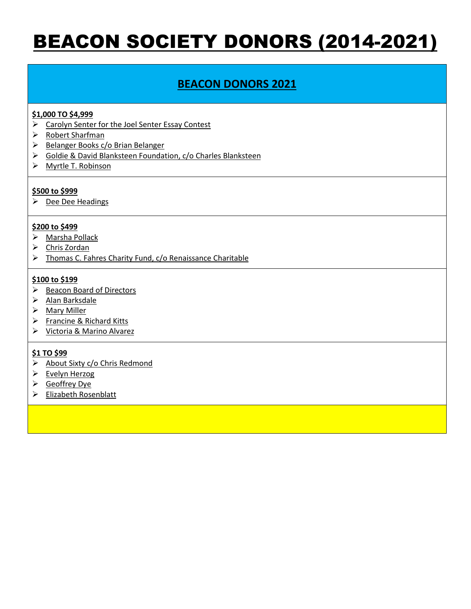# BEACON SOCIETY DONORS (2014-2021)

# **BEACON DONORS 2021**

# **\$1,000 TO \$4,999**

- > Carolyn Senter for the Joel Senter Essay Contest
- ▶ Robert Sharfman
- $\triangleright$  Belanger Books c/o Brian Belanger
- Goldie & David Blanksteen Foundation, c/o Charles Blanksteen
- Myrtle T. Robinson

### **\$500 to \$999**

 $\triangleright$  Dee Dee Headings

### **\$200 to \$499**

- > Marsha Pollack
- Chris Zordan
- > Thomas C. Fahres Charity Fund, c/o Renaissance Charitable

### **\$100 to \$199**

- $\triangleright$  Beacon Board of Directors
- $\triangleright$  Alan Barksdale
- Mary Miller
- $\triangleright$  Francine & Richard Kitts
- Victoria & Marino Alvarez

- $\triangleright$  About Sixty c/o Chris Redmond
- $\triangleright$  Evelyn Herzog
- Geoffrey Dye
- Elizabeth Rosenblatt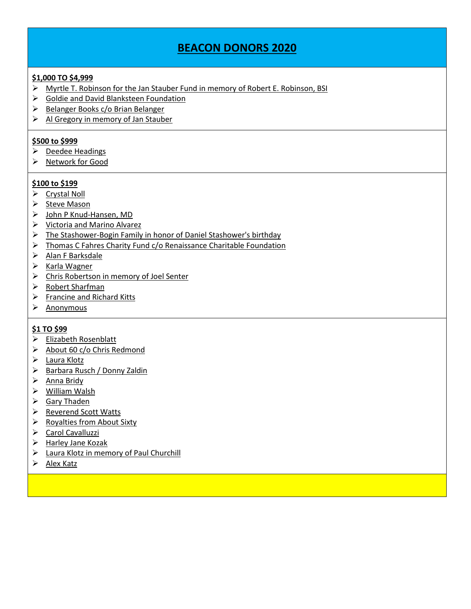# **\$1,000 TO \$4,999**

- Myrtle T. Robinson for the Jan Stauber Fund in memory of Robert E. Robinson, BSI
- Goldie and David Blanksteen Foundation
- ▶ Belanger Books c/o Brian Belanger
- $\triangleright$  Al Gregory in memory of Jan Stauber

### **\$500 to \$999**

- $\triangleright$  Deedee Headings
- $\triangleright$  Network for Good

### **\$100 to \$199**

- ▶ Crystal Noll
- $\triangleright$  Steve Mason
- John P Knud-Hansen, MD
- $\triangleright$  Victoria and Marino Alvarez
- The Stashower-Bogin Family in honor of Daniel Stashower's birthday
- $\triangleright$  Thomas C Fahres Charity Fund c/o Renaissance Charitable Foundation
- $\triangleright$  Alan F Barksdale
- $\triangleright$  Karla Wagner
- Chris Robertson in memory of Joel Senter
- > Robert Sharfman
- $\triangleright$  Francine and Richard Kitts
- $\triangleright$  Anonymous

- Elizabeth Rosenblatt
- $\triangleright$  About 60 c/o Chris Redmond
- Laura Klotz
- ▶ Barbara Rusch / Donny Zaldin
- $\triangleright$  Anna Bridy
- William Walsh
- $\triangleright$  Gary Thaden
- **▶ Reverend Scott Watts**
- $\triangleright$  Royalties from About Sixty
- Carol Cavalluzzi
- $\triangleright$  Harley Jane Kozak
- $\triangleright$  Laura Klotz in memory of Paul Churchill
- $\triangleright$  Alex Katz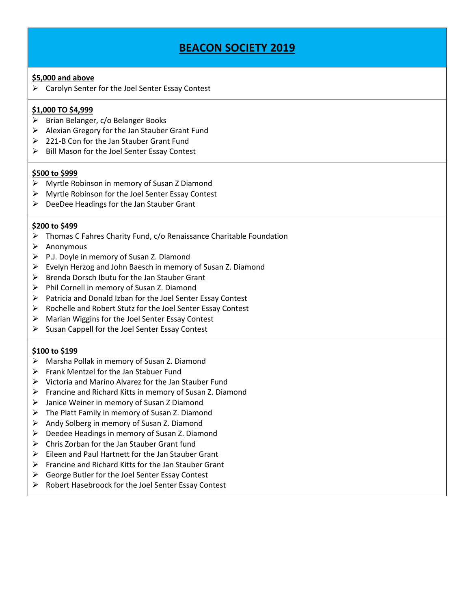# **BEACON SOCIETY 2019**

#### **\$5,000 and above**

 $\triangleright$  Carolyn Senter for the Joel Senter Essay Contest

### **\$1,000 TO \$4,999**

- $\triangleright$  Brian Belanger, c/o Belanger Books
- $\triangleright$  Alexian Gregory for the Jan Stauber Grant Fund
- 221-B Con for the Jan Stauber Grant Fund
- $\triangleright$  Bill Mason for the Joel Senter Essay Contest

#### **\$500 to \$999**

- Myrtle Robinson in memory of Susan Z Diamond
- $\triangleright$  Myrtle Robinson for the Joel Senter Essay Contest
- DeeDee Headings for the Jan Stauber Grant

#### **\$200 to \$499**

- $\triangleright$  Thomas C Fahres Charity Fund, c/o Renaissance Charitable Foundation
- $\triangleright$  Anonymous
- $\triangleright$  P.J. Doyle in memory of Susan Z. Diamond
- Evelyn Herzog and John Baesch in memory of Susan Z. Diamond
- $\triangleright$  Brenda Dorsch Ibutu for the Jan Stauber Grant
- $\triangleright$  Phil Cornell in memory of Susan Z. Diamond
- $\triangleright$  Patricia and Donald Izban for the Joel Senter Essay Contest
- $\triangleright$  Rochelle and Robert Stutz for the Joel Senter Essay Contest
- Marian Wiggins for the Joel Senter Essay Contest
- $\triangleright$  Susan Cappell for the Joel Senter Essay Contest

### **\$100 to \$199**

- Marsha Pollak in memory of Susan Z. Diamond
- $\triangleright$  Frank Mentzel for the Jan Stabuer Fund
- $\triangleright$  Victoria and Marino Alvarez for the Jan Stauber Fund
- $\triangleright$  Francine and Richard Kitts in memory of Susan Z. Diamond
- Janice Weiner in memory of Susan Z Diamond
- $\triangleright$  The Platt Family in memory of Susan Z. Diamond
- $\triangleright$  Andy Solberg in memory of Susan Z. Diamond
- $\triangleright$  Deedee Headings in memory of Susan Z. Diamond
- $\triangleright$  Chris Zorban for the Jan Stauber Grant fund
- $\triangleright$  Eileen and Paul Hartnett for the Jan Stauber Grant
- $\triangleright$  Francine and Richard Kitts for the Jan Stauber Grant
- $\triangleright$  George Butler for the Joel Senter Essay Contest
- $\triangleright$  Robert Hasebroock for the Joel Senter Essay Contest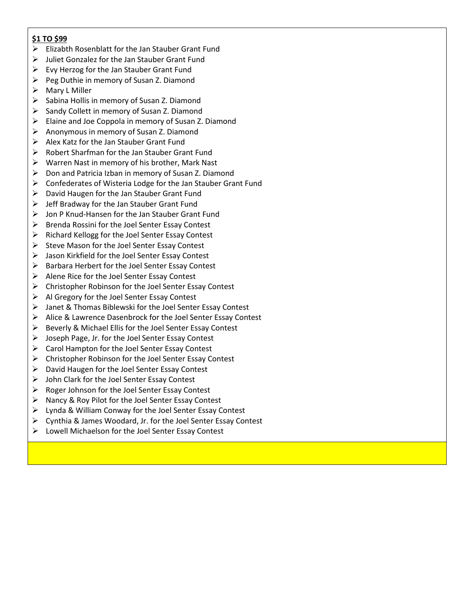- $\triangleright$  Elizabth Rosenblatt for the Jan Stauber Grant Fund
- $\triangleright$  Juliet Gonzalez for the Jan Stauber Grant Fund
- $\triangleright$  Evy Herzog for the Jan Stauber Grant Fund
- Peg Duthie in memory of Susan Z. Diamond
- > Mary L Miller
- $\triangleright$  Sabina Hollis in memory of Susan Z. Diamond
- $\triangleright$  Sandy Collett in memory of Susan Z. Diamond
- $\triangleright$  Elaine and Joe Coppola in memory of Susan Z. Diamond
- Anonymous in memory of Susan Z. Diamond
- $\triangleright$  Alex Katz for the Jan Stauber Grant Fund
- $\triangleright$  Robert Sharfman for the Jan Stauber Grant Fund
- $\triangleright$  Warren Nast in memory of his brother, Mark Nast
- $\triangleright$  Don and Patricia Izban in memory of Susan Z. Diamond
- $\triangleright$  Confederates of Wisteria Lodge for the Jan Stauber Grant Fund
- $\triangleright$  David Haugen for the Jan Stauber Grant Fund
- $\triangleright$  Jeff Bradway for the Jan Stauber Grant Fund
- Jon P Knud-Hansen for the Jan Stauber Grant Fund
- $\triangleright$  Brenda Rossini for the Joel Senter Essay Contest
- $\triangleright$  Richard Kellogg for the Joel Senter Essay Contest
- $\triangleright$  Steve Mason for the Joel Senter Essay Contest
- $\triangleright$  Jason Kirkfield for the Joel Senter Essay Contest
- $\triangleright$  Barbara Herbert for the Joel Senter Essay Contest
- $\triangleright$  Alene Rice for the Joel Senter Essay Contest
- $\triangleright$  Christopher Robinson for the Joel Senter Essay Contest
- $\triangleright$  Al Gregory for the Joel Senter Essay Contest
- Janet & Thomas Biblewski for the Joel Senter Essay Contest
- $\triangleright$  Alice & Lawrence Dasenbrock for the Joel Senter Essay Contest
- $\triangleright$  Beverly & Michael Ellis for the Joel Senter Essay Contest
- > Joseph Page, Jr. for the Joel Senter Essay Contest
- $\triangleright$  Carol Hampton for the Joel Senter Essay Contest
- $\triangleright$  Christopher Robinson for the Joel Senter Essay Contest
- $\triangleright$  David Haugen for the Joel Senter Essay Contest
- $\triangleright$  John Clark for the Joel Senter Essay Contest
- $\triangleright$  Roger Johnson for the Joel Senter Essay Contest
- $\triangleright$  Nancy & Roy Pilot for the Joel Senter Essay Contest
- Lynda & William Conway for the Joel Senter Essay Contest
- $\triangleright$  Cynthia & James Woodard, Jr. for the Joel Senter Essay Contest
- Lowell Michaelson for the Joel Senter Essay Contest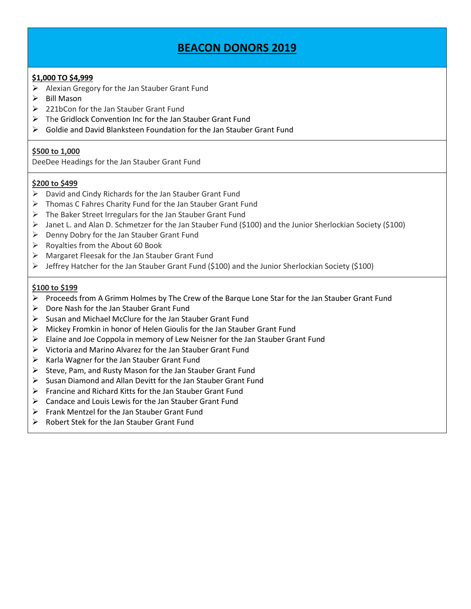### **\$1,000 TO \$4,999**

- $\triangleright$  Alexian Gregory for the Jan Stauber Grant Fund
- $\triangleright$  Bill Mason
- $\geqslant$  221bCon for the Jan Stauber Grant Fund
- $\triangleright$  The Gridlock Convention Inc for the Jan Stauber Grant Fund
- $\triangleright$  Goldie and David Blanksteen Foundation for the Jan Stauber Grant Fund

### **\$500 to 1,000**

DeeDee Headings for the Jan Stauber Grant Fund

### **\$200 to \$499**

- $\triangleright$  David and Cindy Richards for the Jan Stauber Grant Fund
- $\triangleright$  Thomas C Fahres Charity Fund for the Jan Stauber Grant Fund
- $\triangleright$  The Baker Street Irregulars for the Jan Stauber Grant Fund
- $\triangleright$  Janet L. and Alan D. Schmetzer for the Jan Stauber Fund (\$100) and the Junior Sherlockian Society (\$100)
- $\triangleright$  Denny Dobry for the Jan Stauber Grant Fund
- $\triangleright$  Royalties from the About 60 Book
- Margaret Fleesak for the Jan Stauber Grant Fund
- Jeffrey Hatcher for the Jan Stauber Grant Fund (\$100) and the Junior Sherlockian Society (\$100)

### **\$100 to \$199**

- $\triangleright$  Proceeds from A Grimm Holmes by The Crew of the Barque Lone Star for the Jan Stauber Grant Fund
- $\triangleright$  Dore Nash for the Jan Stauber Grant Fund
- $\triangleright$  Susan and Michael McClure for the Jan Stauber Grant Fund
- Mickey Fromkin in honor of Helen Gioulis for the Jan Stauber Grant Fund
- $\triangleright$  Elaine and Joe Coppola in memory of Lew Neisner for the Jan Stauber Grant Fund
- Victoria and Marino Alvarez for the Jan Stauber Grant Fund
- $\triangleright$  Karla Wagner for the Jan Stauber Grant Fund
- $\triangleright$  Steve, Pam, and Rusty Mason for the Jan Stauber Grant Fund
- $\triangleright$  Susan Diamond and Allan Devitt for the Jan Stauber Grant Fund
- $\triangleright$  Francine and Richard Kitts for the Jan Stauber Grant Fund
- Candace and Louis Lewis for the Jan Stauber Grant Fund
- $\triangleright$  Frank Mentzel for the Jan Stauber Grant Fund
- $\triangleright$  Robert Stek for the Jan Stauber Grant Fund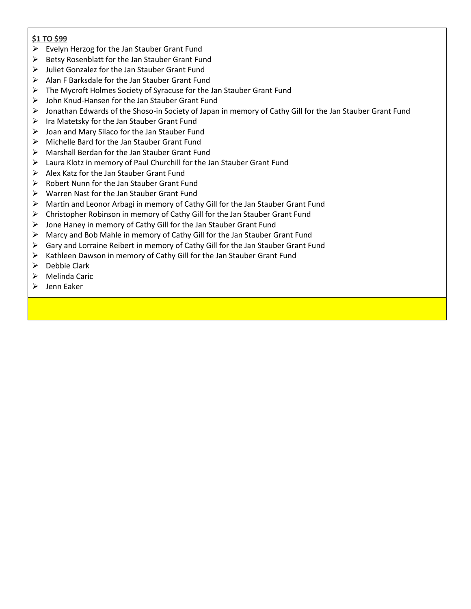- $\triangleright$  Evelyn Herzog for the Jan Stauber Grant Fund
- $\triangleright$  Betsy Rosenblatt for the Jan Stauber Grant Fund
- $\triangleright$  Juliet Gonzalez for the Jan Stauber Grant Fund
- $\triangleright$  Alan F Barksdale for the Jan Stauber Grant Fund
- $\triangleright$  The Mycroft Holmes Society of Syracuse for the Jan Stauber Grant Fund
- John Knud-Hansen for the Jan Stauber Grant Fund
- Jonathan Edwards of the Shoso-in Society of Japan in memory of Cathy Gill for the Jan Stauber Grant Fund
- $\triangleright$  Ira Matetsky for the Jan Stauber Grant Fund
- $\triangleright$  Joan and Mary Silaco for the Jan Stauber Fund
- $\triangleright$  Michelle Bard for the Jan Stauber Grant Fund
- Marshall Berdan for the Jan Stauber Grant Fund
- $\triangleright$  Laura Klotz in memory of Paul Churchill for the Jan Stauber Grant Fund
- $\triangleright$  Alex Katz for the Jan Stauber Grant Fund
- $\triangleright$  Robert Nunn for the Jan Stauber Grant Fund
- Warren Nast for the Jan Stauber Grant Fund
- $\triangleright$  Martin and Leonor Arbagi in memory of Cathy Gill for the Jan Stauber Grant Fund
- Christopher Robinson in memory of Cathy Gill for the Jan Stauber Grant Fund
- $\triangleright$  Jone Haney in memory of Cathy Gill for the Jan Stauber Grant Fund
- Marcy and Bob Mahle in memory of Cathy Gill for the Jan Stauber Grant Fund
- $\triangleright$  Gary and Lorraine Reibert in memory of Cathy Gill for the Jan Stauber Grant Fund
- $\triangleright$  Kathleen Dawson in memory of Cathy Gill for the Jan Stauber Grant Fund
- $\triangleright$  Debbie Clark
- $\triangleright$  Melinda Caric
- $\triangleright$  Jenn Eaker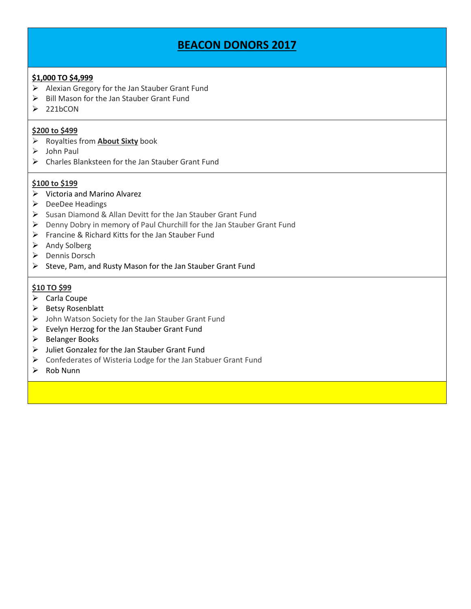### **\$1,000 TO \$4,999**

- $\triangleright$  Alexian Gregory for the Jan Stauber Grant Fund
- $\triangleright$  Bill Mason for the Jan Stauber Grant Fund
- $\geq$  221bCON

### **\$200 to \$499**

- Royalties from **About Sixty** book
- $\triangleright$  John Paul
- Charles Blanksteen for the Jan Stauber Grant Fund

### **\$100 to \$199**

- $\triangleright$  Victoria and Marino Alvarez
- $\triangleright$  DeeDee Headings
- $\triangleright$  Susan Diamond & Allan Devitt for the Jan Stauber Grant Fund
- $\triangleright$  Denny Dobry in memory of Paul Churchill for the Jan Stauber Grant Fund
- $\triangleright$  Francine & Richard Kitts for the Jan Stauber Fund
- $\triangleright$  Andy Solberg
- ▶ Dennis Dorsch
- $\triangleright$  Steve, Pam, and Rusty Mason for the Jan Stauber Grant Fund

- $\triangleright$  Carla Coupe
- $\triangleright$  Betsy Rosenblatt
- John Watson Society for the Jan Stauber Grant Fund
- $\triangleright$  Evelyn Herzog for the Jan Stauber Grant Fund
- $\triangleright$  Belanger Books
- Juliet Gonzalez for the Jan Stauber Grant Fund
- Confederates of Wisteria Lodge for the Jan Stabuer Grant Fund
- $\triangleright$  Rob Nunn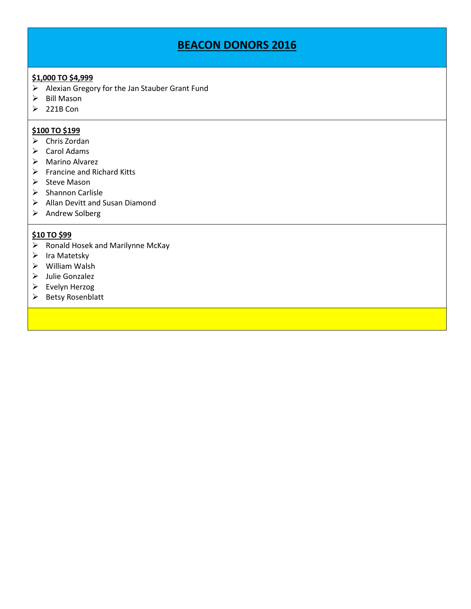# **\$1,000 TO \$4,999**

- $\triangleright$  Alexian Gregory for the Jan Stauber Grant Fund
- $\triangleright$  Bill Mason
- $\geq 221B$  Con

### **\$100 TO \$199**

- $\triangleright$  Chris Zordan
- $\triangleright$  Carol Adams
- $\triangleright$  Marino Alvarez
- $\triangleright$  Francine and Richard Kitts
- $\triangleright$  Steve Mason
- $\triangleright$  Shannon Carlisle
- Allan Devitt and Susan Diamond
- > Andrew Solberg

- $\triangleright$  Ronald Hosek and Marilynne McKay
- $\triangleright$  Ira Matetsky
- William Walsh
- Julie Gonzalez
- $\triangleright$  Evelyn Herzog
- $\triangleright$  Betsy Rosenblatt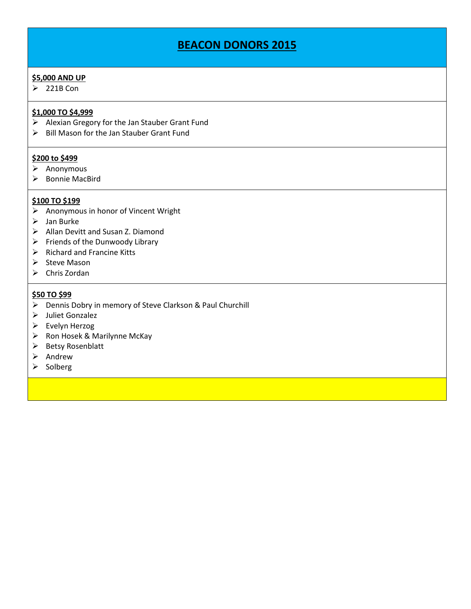#### **\$5,000 AND UP**

 $\geq 221B$  Con

# **\$1,000 TO \$4,999**

- $\triangleright$  Alexian Gregory for the Jan Stauber Grant Fund
- $\triangleright$  Bill Mason for the Jan Stauber Grant Fund

### **\$200 to \$499**

- $\triangleright$  Anonymous
- $\triangleright$  Bonnie MacBird

### **\$100 TO \$199**

- $\triangleright$  Anonymous in honor of Vincent Wright
- $\triangleright$  Jan Burke
- Allan Devitt and Susan Z. Diamond
- $\triangleright$  Friends of the Dunwoody Library
- $\triangleright$  Richard and Francine Kitts
- $\triangleright$  Steve Mason
- $\triangleright$  Chris Zordan

### **\$50 TO \$99**

- Dennis Dobry in memory of Steve Clarkson & Paul Churchill
- > Juliet Gonzalez
- $\triangleright$  Evelyn Herzog
- $\triangleright$  Ron Hosek & Marilynne McKay
- $\triangleright$  Betsy Rosenblatt
- $\triangleright$  Andrew
- $\triangleright$  Solberg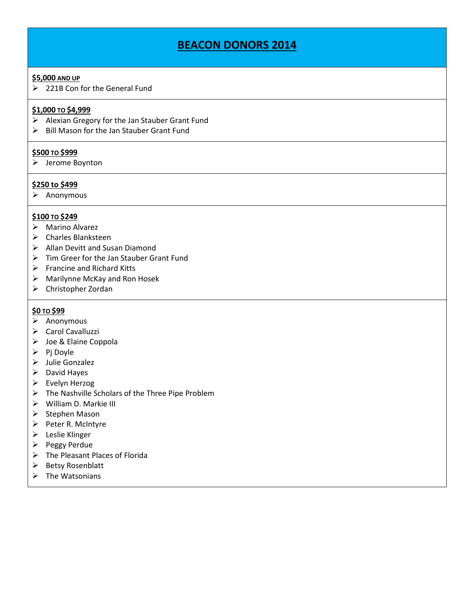#### **\$5,000 AND UP**

221B Con for the General Fund

### **\$1,000 TO \$4,999**

- $\triangleright$  Alexian Gregory for the Jan Stauber Grant Fund
- $\triangleright$  Bill Mason for the Jan Stauber Grant Fund

#### **\$500 TO \$999**

 $\triangleright$  Jerome Boynton

### **\$250 to \$499**

 $\triangleright$  Anonymous

### **\$100 TO \$249**

- $\triangleright$  Marino Alvarez
- Charles Blanksteen
- $\triangleright$  Allan Devitt and Susan Diamond
- $\triangleright$  Tim Greer for the Jan Stauber Grant Fund
- $\triangleright$  Francine and Richard Kitts
- Marilynne McKay and Ron Hosek
- Christopher Zordan

### **\$0 TO \$99**

- $\triangleright$  Anonymous
- Carol Cavalluzzi
- > Joe & Elaine Coppola
- $\triangleright$  Pj Doyle
- Julie Gonzalez
- $\triangleright$  David Hayes
- Evelyn Herzog
- $\triangleright$  The Nashville Scholars of the Three Pipe Problem
- $\triangleright$  William D. Markie III
- $\triangleright$  Stephen Mason
- $\triangleright$  Peter R. McIntyre
- $\triangleright$  Leslie Klinger
- $\triangleright$  Peggy Perdue
- > The Pleasant Places of Florida
- $\triangleright$  Betsy Rosenblatt
- $\triangleright$  The Watsonians